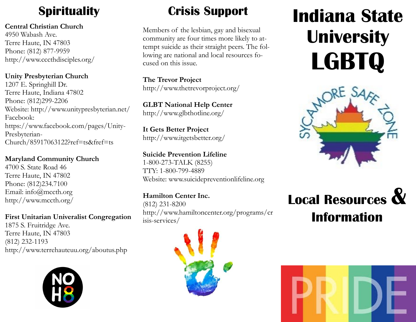## **Spirituality**

**Central Christian Church** 4950 Wabash Ave. Terre Haute, IN 47803 Phone: (812) 877-9959 http://www.cccthdisciples.org/

**Unity Presbyterian Church** 1207 E. Springhill Dr. Terre Haute, Indiana 47802 Phone: (812)299-2206 Website: http://www.unitypresbyterian.net/ Facebook: https://www.facebook.com/pages/Unity-Presbyterian-Church/85917063122?ref=ts&fref=ts

**Maryland Community Church** 

4700 S. State Road 46 Terre Haute, IN 47802 Phone: (812)234.7100 Email: info@mccth.org http://www.mccth.org/

**First Unitarian Univeralist Congregation**  1875 S. Fruitridge Ave. Terre Haute, IN 47803 (812) 232-1193 http://www.terrehauteuu.org/aboutus.php



# **Crisis Support**

Members of the lesbian, gay and bisexual community are four times more likely to attempt suicide as their straight peers. The following are national and local resources focused on this issue.

**The Trevor Project**  http://www.thetrevorproject.org/

**GLBT National Help Center** http://www.glbthotline.org/

**It Gets Better Project**  http://www.itgetsbetter.org/

**Suicide Prevention Lifeline** 1-800-273-TALK (8255) TTY: 1-800-799-4889 Website: www.suicidepreventionlifeline.org

**Hamilton Center Inc.**  (812) 231-8200 http://www.hamiltoncenter.org/programs/cr isis-services/



# **Indiana State University LGBTQ**



# **Local Resources & Information**